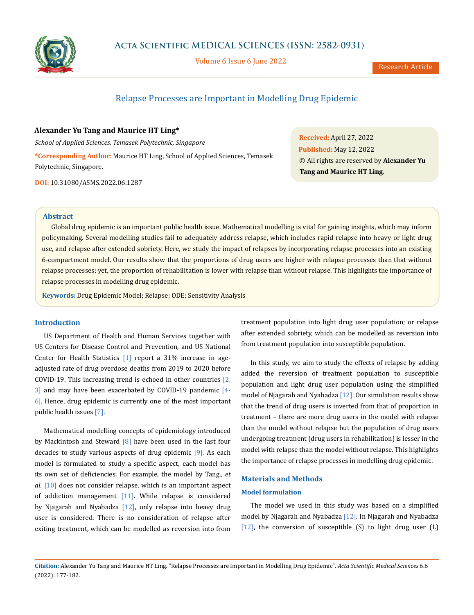

Volume 6 Issue 6 June 2022

Research Article

# Relapse Processes are Important in Modelling Drug Epidemic

**Alexander Yu Tang and Maurice HT Ling\***

*School of Applied Sciences, Temasek Polytechnic, Singapore* **\*Corresponding Author:** Maurice HT Ling, School of Applied Sciences, Temasek Polytechnic, Singapore.

**DOI:** [10.31080/ASMS.2022.06.1287](http://actascientific.com/ASMS/pdf/ASMS-06-1287.pdf)

**Received:** April 27, 2022 **Published:** May 12, 2022 © All rights are reserved by **Alexander Yu Tang and Maurice HT Ling***.*

### **Abstract**

Global drug epidemic is an important public health issue. Mathematical modelling is vital for gaining insights, which may inform policymaking. Several modelling studies fail to adequately address relapse, which includes rapid relapse into heavy or light drug use, and relapse after extended sobriety. Here, we study the impact of relapses by incorporating relapse processes into an existing 6-compartment model. Our results show that the proportions of drug users are higher with relapse processes than that without relapse processes; yet, the proportion of rehabilitation is lower with relapse than without relapse. This highlights the importance of relapse processes in modelling drug epidemic.

**Keywords:** Drug Epidemic Model; Relapse; ODE; Sensitivity Analysis

# **Introduction**

US Department of Health and Human Services together with US Centers for Disease Control and Prevention, and US National Center for Health Statistics [1] report a 31% increase in ageadjusted rate of drug overdose deaths from 2019 to 2020 before COVID-19. This increasing trend is echoed in other countries  $\boxed{2}$ , 3] and may have been exacerbated by COVID-19 pandemic [4- 6]. Hence, drug epidemic is currently one of the most important public health issues [7].

Mathematical modelling concepts of epidemiology introduced by Mackintosh and Steward  $[8]$  have been used in the last four decades to study various aspects of drug epidemic [9]. As each model is formulated to study a specific aspect, each model has its own set of deficiencies. For example, the model by Tang., *et al*. [10] does not consider relapse, which is an important aspect of addiction management [11]. While relapse is considered by Njagarah and Nyabadza [12], only relapse into heavy drug user is considered. There is no consideration of relapse after exiting treatment, which can be modelled as reversion into from treatment population into light drug user population; or relapse after extended sobriety, which can be modelled as reversion into from treatment population into susceptible population.

In this study, we aim to study the effects of relapse by adding added the reversion of treatment population to susceptible population and light drug user population using the simplified model of Njagarah and Nyabadza [12]. Our simulation results show that the trend of drug users is inverted from that of proportion in treatment – there are more drug users in the model with relapse than the model without relapse but the population of drug users undergoing treatment (drug users in rehabilitation) is lesser in the model with relapse than the model without relapse. This highlights the importance of relapse processes in modelling drug epidemic.

## **Materials and Methods**

### **Model formulation**

The model we used in this study was based on a simplified model by Njagarah and Nyabadza [12]. In Njagarah and Nyabadza [12], the conversion of susceptible  $(S)$  to light drug user  $(L)$ 

**Citation:** Alexander Yu Tang and Maurice HT Ling*.* "Relapse Processes are Important in Modelling Drug Epidemic". *Acta Scientific Medical Sciences* 6.6 (2022): 177-182.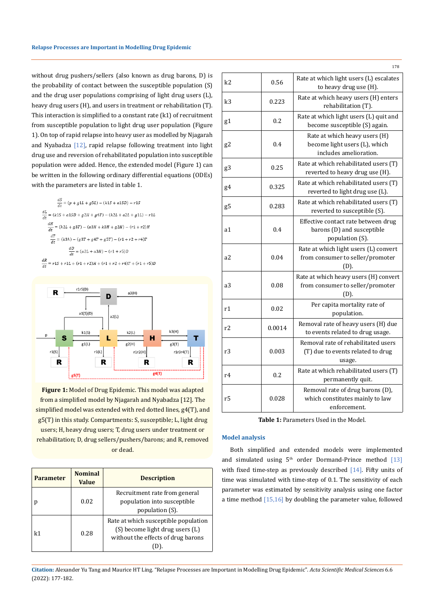without drug pushers/sellers (also known as drug barons, D) is the probability of contact between the susceptible population (S) and the drug user populations comprising of light drug users (L), heavy drug users (H), and users in treatment or rehabilitation (T). This interaction is simplified to a constant rate (k1) of recruitment from susceptible population to light drug user population (Figure 1). On top of rapid relapse into heavy user as modelled by Njagarah and Nyabadza [12], rapid relapse following treatment into light drug use and reversion of rehabilitated population into susceptible population were added. Hence, the extended model (Figure 1) can be written in the following ordinary differential equations (ODEs) with the parameters are listed in table 1.

 $\frac{dS}{dt} = \left(p + g1L + g5L\right) - \left(k1S + a1SD\right) - r1S$  $\frac{dL}{dt} = (k1S + a1S D + g2H + g4T) - (k2L + a2L + g1L) - r1L$  $\frac{dH}{dt} = (k2L + g3T) - (a3H + k3H + g2H) - (r1 + r2)H$  $\frac{dT}{dt} = (k3h) - (g3T + g4T + g5T) - (r1 + r2 + r4)T$  $\frac{dD}{dt} = (a2L + a3H) - (r1 + r5)D$  $\frac{dR}{dt} = r1S + r1L + (r1 + r2)H + (r1 + r2 + r4)T + (r1 + r5)D$ 



**Figure 1:** Model of Drug Epidemic. This model was adapted from a simplified model by Njagarah and Nyabadza [12]. The simplified model was extended with red dotted lines, g4(T), and g5(T) in this study. Compartments: S, susceptible; L, light drug users; H, heavy drug users; T, drug users under treatment or rehabilitation; D, drug sellers/pushers/barons; and R, removed or dead.

| <b>Parameter</b> | <b>Nominal</b><br><b>Value</b> | <b>Description</b>                                                                                            |
|------------------|--------------------------------|---------------------------------------------------------------------------------------------------------------|
| р                | 0.02                           | Recruitment rate from general<br>population into susceptible<br>population (S).                               |
| k1               | 0.28                           | Rate at which susceptible population<br>(S) become light drug users (L)<br>without the effects of drug barons |

| k2 | 0.56   | Rate at which light users (L) escalates<br>to heavy drug use (H).                        |
|----|--------|------------------------------------------------------------------------------------------|
| k3 | 0.223  | Rate at which heavy users (H) enters<br>rehabilitation (T).                              |
| g1 | 0.2    | Rate at which light users (L) quit and<br>become susceptible (S) again.                  |
| g2 | 0.4    | Rate at which heavy users (H)<br>become light users (L), which<br>includes amelioration. |
| g3 | 0.25   | Rate at which rehabilitated users (T)<br>reverted to heavy drug use (H).                 |
| g4 | 0.325  | Rate at which rehabilitated users (T)<br>reverted to light drug use (L).                 |
| g5 | 0.283  | Rate at which rehabilitated users (T)<br>reverted to susceptible (S).                    |
| a1 | 0.4    | Effective contact rate between drug<br>barons (D) and susceptible<br>population (S).     |
| a2 | 0.04   | Rate at which light users (L) convert<br>from consumer to seller/promoter<br>(D).        |
| a3 | 0.08   | Rate at which heavy users (H) convert<br>from consumer to seller/promoter<br>(D).        |
| r1 | 0.02   | Per capita mortality rate of<br>population.                                              |
| r2 | 0.0014 | Removal rate of heavy users (H) due<br>to events related to drug usage.                  |
| r3 | 0.003  | Removal rate of rehabilitated users<br>(T) due to events related to drug<br>usage.       |
| r4 | 0.2    | Rate at which rehabilitated users (T)<br>permanently quit.                               |
| r5 | 0.028  | Removal rate of drug barons (D),<br>which constitutes mainly to law<br>enforcement.      |

178

**Table 1:** Parameters Used in the Model.

### **Model analysis**

Both simplified and extended models were implemented and simulated using  $5<sup>th</sup>$  order Dormand-Prince method [13] with fixed time-step as previously described [14]. Fifty units of time was simulated with time-step of 0.1. The sensitivity of each parameter was estimated by sensitivity analysis using one factor a time method [15,16] by doubling the parameter value, followed

**Citation:** Alexander Yu Tang and Maurice HT Ling*.* "Relapse Processes are Important in Modelling Drug Epidemic". *Acta Scientific Medical Sciences* 6.6 (2022): 177-182.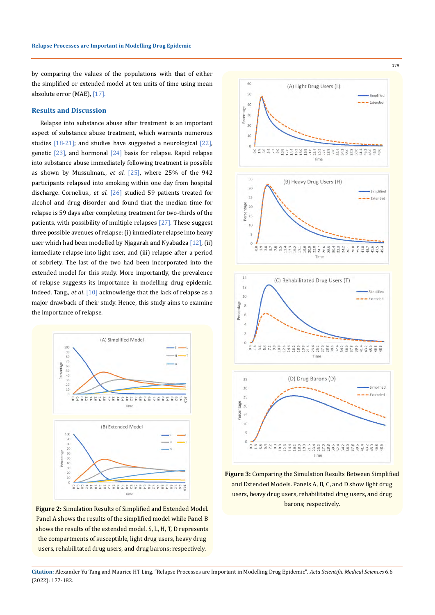by comparing the values of the populations with that of either the simplified or extended model at ten units of time using mean absolute error (MAE), [17].

### **Results and Discussion**

Relapse into substance abuse after treatment is an important aspect of substance abuse treatment, which warrants numerous studies [18-21]; and studies have suggested a neurological [22], genetic  $\left[23\right]$ , and hormonal  $\left[24\right]$  basis for relapse. Rapid relapse into substance abuse immediately following treatment is possible as shown by Mussulman., *et al*. [25], where 25% of the 942 participants relapsed into smoking within one day from hospital discharge. Cornelius., *et al*. [26] studied 59 patients treated for alcohol and drug disorder and found that the median time for relapse is 59 days after completing treatment for two-thirds of the patients, with possibility of multiple relapses [27]. These suggest three possible avenues of relapse: (i) immediate relapse into heavy user which had been modelled by Njagarah and Nyabadza [12], (ii) immediate relapse into light user, and (iii) relapse after a period of sobriety. The last of the two had been incorporated into the extended model for this study. More importantly, the prevalence of relapse suggests its importance in modelling drug epidemic. Indeed, Tang., *et al*. [10] acknowledge that the lack of relapse as a major drawback of their study. Hence, this study aims to examine the importance of relapse.



**Figure 2:** Simulation Results of Simplified and Extended Model. Panel A shows the results of the simplified model while Panel B shows the results of the extended model. S, L, H, T, D represents the compartments of susceptible, light drug users, heavy drug users, rehabilitated drug users, and drug barons; respectively.

179



**Figure 3:** Comparing the Simulation Results Between Simplified and Extended Models. Panels A, B, C, and D show light drug users, heavy drug users, rehabilitated drug users, and drug barons; respectively.

**Citation:** Alexander Yu Tang and Maurice HT Ling*.* "Relapse Processes are Important in Modelling Drug Epidemic". *Acta Scientific Medical Sciences* 6.6 (2022): 177-182.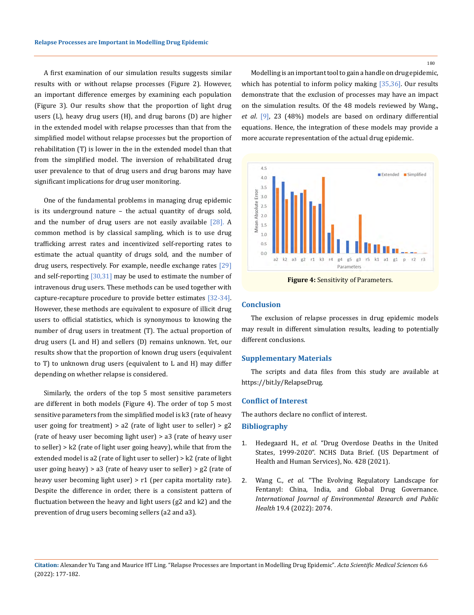A first examination of our simulation results suggests similar results with or without relapse processes (Figure 2). However, an important difference emerges by examining each population (Figure 3). Our results show that the proportion of light drug users (L), heavy drug users (H), and drug barons (D) are higher in the extended model with relapse processes than that from the simplified model without relapse processes but the proportion of rehabilitation (T) is lower in the in the extended model than that from the simplified model. The inversion of rehabilitated drug user prevalence to that of drug users and drug barons may have significant implications for drug user monitoring.

One of the fundamental problems in managing drug epidemic is its underground nature – the actual quantity of drugs sold, and the number of drug users are not easily available [28]. A common method is by classical sampling, which is to use drug trafficking arrest rates and incentivized self-reporting rates to estimate the actual quantity of drugs sold, and the number of drug users, respectively. For example, needle exchange rates [29] and self-reporting  $\left[30,31\right]$  may be used to estimate the number of intravenous drug users. These methods can be used together with capture-recapture procedure to provide better estimates [32-34]. However, these methods are equivalent to exposure of illicit drug users to official statistics, which is synonymous to knowing the number of drug users in treatment (T). The actual proportion of drug users (L and H) and sellers (D) remains unknown. Yet, our results show that the proportion of known drug users (equivalent to T) to unknown drug users (equivalent to L and H) may differ depending on whether relapse is considered.

Similarly, the orders of the top 5 most sensitive parameters are different in both models (Figure 4). The order of top 5 most sensitive parameters from the simplified model is k3 (rate of heavy user going for treatment) > a2 (rate of light user to seller) > g2 (rate of heavy user becoming light user) > a3 (rate of heavy user to seller) > k2 (rate of light user going heavy), while that from the extended model is a2 (rate of light user to seller) > k2 (rate of light user going heavy) > a3 (rate of heavy user to seller) >  $g2$  (rate of heavy user becoming light user) > r1 (per capita mortality rate). Despite the difference in order, there is a consistent pattern of fluctuation between the heavy and light users (g2 and k2) and the prevention of drug users becoming sellers (a2 and a3).

180

Modelling is an important tool to gain a handle on drug epidemic, which has potential to inform policy making [35,36]. Our results demonstrate that the exclusion of processes may have an impact on the simulation results. Of the 48 models reviewed by Wang., *et al*. [9], 23 (48%) models are based on ordinary differential equations. Hence, the integration of these models may provide a more accurate representation of the actual drug epidemic.



**Figure 4:** Sensitivity of Parameters.

### **Conclusion**

The exclusion of relapse processes in drug epidemic models may result in different simulation results, leading to potentially different conclusions.

### **Supplementary Materials**

The scripts and data files from this study are available at https://bit.ly/RelapseDrug.

#### **Conflict of Interest**

The authors declare no conflict of interest.

# **Bibliography**

- 1. Hedegaard H., *et al*. "Drug Overdose Deaths in the United States, 1999-2020". NCHS Data Brief. (US Department of Health and Human Services), No. 428 (2021).
- 2. Wang C., *et al*[. "The Evolving Regulatory Landscape for](https://doi.org/10.3390/ijerph19042074)  [Fentanyl: China, India, and Global Drug Governance.](https://doi.org/10.3390/ijerph19042074)  *[International Journal of Environmental Research and Public](https://doi.org/10.3390/ijerph19042074)  Health* [19.4 \(2022\): 2074.](https://doi.org/10.3390/ijerph19042074)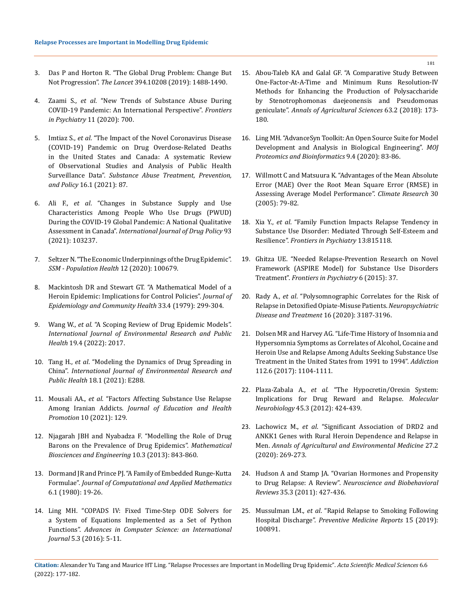- 3. [Das P and Horton R. "The Global Drug Problem: Change But](https://doi.org/10.1016/S0140-6736(19)32275-5)  Not Progression". *The Lancet* [394.10208 \(2019\): 1488-1490.](https://doi.org/10.1016/S0140-6736(19)32275-5)
- 4. Zaami S., *et al*[. "New Trends of Substance Abuse During](https://doi.org/10.3389/fpsyt.2020.00700)  [COVID-19 Pandemic: An International Perspective".](https://doi.org/10.3389/fpsyt.2020.00700) *Frontiers in Psychiatry* [11 \(2020\): 700.](https://doi.org/10.3389/fpsyt.2020.00700)
- 5. Imtiaz S., *et al*[. "The Impact of the Novel Coronavirus Disease](https://doi.org/10.1186/s13011-021-00423-5)  [\(COVID-19\) Pandemic on Drug Overdose-Related Deaths](https://doi.org/10.1186/s13011-021-00423-5)  [in the United States and Canada: A systematic Review](https://doi.org/10.1186/s13011-021-00423-5)  [of Observational Studies and Analysis of Public Health](https://doi.org/10.1186/s13011-021-00423-5)  Surveillance Data". *[Substance Abuse Treatment, Prevention,](https://doi.org/10.1186/s13011-021-00423-5)  and Policy* [16.1 \(2021\): 87.](https://doi.org/10.1186/s13011-021-00423-5)
- 6. Ali F., *et al*[. "Changes in Substance Supply and Use](https://doi.org/10.1016/j.drugpo.2021.103237)  [Characteristics Among People Who Use Drugs \(PWUD\)](https://doi.org/10.1016/j.drugpo.2021.103237)  [During the COVID-19 Global Pandemic: A National Qualitative](https://doi.org/10.1016/j.drugpo.2021.103237)  Assessment in Canada". *[International Journal of Drug Policy](https://doi.org/10.1016/j.drugpo.2021.103237)* 93 [\(2021\): 103237.](https://doi.org/10.1016/j.drugpo.2021.103237)
- 7. [Seltzer N. "The Economic Underpinnings of the Drug Epidemic".](https://doi.org/10.1016/j.ssmph.2020.100679)  *[SSM - Population Health](https://doi.org/10.1016/j.ssmph.2020.100679)* 12 (2020): 100679.
- 8. [Mackintosh DR and Stewart GT. "A Mathematical Model of a](https://doi.org/10.1136/jech.33.4.299)  [Heroin Epidemic: Implications for Control Policies".](https://doi.org/10.1136/jech.33.4.299) *Journal of [Epidemiology and Community Health](https://doi.org/10.1136/jech.33.4.299)* 33.4 (1979): 299-304.
- 9. Wang W., *et al*[. "A Scoping Review of Drug Epidemic Models".](https://doi.org/10.3390/ijerph19042017)  *[International Journal of Environmental Research and Public](https://doi.org/10.3390/ijerph19042017)  Health* [19.4 \(2022\): 2017.](https://doi.org/10.3390/ijerph19042017)
- 10. Tang H., *et al*[. "Modeling the Dynamics of Drug Spreading in](https://doi.org/10.3390/ijerph18010288)  China". *[International Journal of Environmental Research and](https://doi.org/10.3390/ijerph18010288)  Public Health* [18.1 \(2021\): E288.](https://doi.org/10.3390/ijerph18010288)
- 11. Mousali AA., *et al*[. "Factors Affecting Substance Use Relapse](https://doi.org/10.4103/jehp.jehp_984_20)  Among Iranian Addicts. *[Journal of Education and Health](https://doi.org/10.4103/jehp.jehp_984_20)  Promotion* [10 \(2021\): 129.](https://doi.org/10.4103/jehp.jehp_984_20)
- 12. [Njagarah JBH and Nyabadza F. "Modelling the Role of Drug](https://doi.org/10.3934/mbe.2013.10.843)  [Barons on the Prevalence of Drug Epidemics".](https://doi.org/10.3934/mbe.2013.10.843) *Mathematical [Biosciences and Engineering](https://doi.org/10.3934/mbe.2013.10.843)* 10.3 (2013): 843-860.
- 13. [Dormand JR and Prince PJ. "A Family of Embedded Runge-Kutta](https://doi.org/10.1016/0771-050X(80)90013-3)  Formulae". *[Journal of Computational and Applied Mathematics](https://doi.org/10.1016/0771-050X(80)90013-3)* [6.1 \(1980\): 19-26.](https://doi.org/10.1016/0771-050X(80)90013-3)
- 14. [Ling MH. "COPADS IV: Fixed Time-Step ODE Solvers for](https://www.academia.edu/25859869/COPADS_IV_Fixed_Time-Step_ODE_Solvers_for_a_System_of_Equations_Implemented_as_a_Set_of_Python_Functions)  [a System of Equations Implemented as a Set of Python](https://www.academia.edu/25859869/COPADS_IV_Fixed_Time-Step_ODE_Solvers_for_a_System_of_Equations_Implemented_as_a_Set_of_Python_Functions)  Functions". *[Advances in Computer Science: an International](https://www.academia.edu/25859869/COPADS_IV_Fixed_Time-Step_ODE_Solvers_for_a_System_of_Equations_Implemented_as_a_Set_of_Python_Functions)  Journal* [5.3 \(2016\): 5-11.](https://www.academia.edu/25859869/COPADS_IV_Fixed_Time-Step_ODE_Solvers_for_a_System_of_Equations_Implemented_as_a_Set_of_Python_Functions)
- 15. [Abou-Taleb KA and Galal GF. "A Comparative Study Between](https://doi.org/10.1016/j.aoas.2018.11.002)  [One-Factor-At-A-Time and Minimum Runs Resolution-IV](https://doi.org/10.1016/j.aoas.2018.11.002)  [Methods for Enhancing the Production of Polysaccharide](https://doi.org/10.1016/j.aoas.2018.11.002)  [by Stenotrophomonas daejeonensis and Pseudomonas](https://doi.org/10.1016/j.aoas.2018.11.002)  geniculate". *[Annals of Agricultural Sciences](https://doi.org/10.1016/j.aoas.2018.11.002)* 63.2 (2018): 173- [180.](https://doi.org/10.1016/j.aoas.2018.11.002)
- 16. [Ling MH. "AdvanceSyn Toolkit: An Open Source Suite for Model](https://www.researchgate.net/publication/344639125_AdvanceSyn_Toolkit_An_Open-Source_Suite_for_Model_Development_and_Analysis_in_Biological_Engineering)  [Development and Analysis in Biological Engineering".](https://www.researchgate.net/publication/344639125_AdvanceSyn_Toolkit_An_Open-Source_Suite_for_Model_Development_and_Analysis_in_Biological_Engineering) *MOJ [Proteomics and Bioinformatics](https://www.researchgate.net/publication/344639125_AdvanceSyn_Toolkit_An_Open-Source_Suite_for_Model_Development_and_Analysis_in_Biological_Engineering)* 9.4 (2020): 83-86.
- 17. [Willmott C and Matsuura K. "Advantages of the Mean Absolute](https://doi.org/10.3354/cr030079)  [Error \(MAE\) Over the Root Mean Square Error \(RMSE\) in](https://doi.org/10.3354/cr030079)  [Assessing Average Model Performance".](https://doi.org/10.3354/cr030079) *Climate Research* 30 [\(2005\): 79-82.](https://doi.org/10.3354/cr030079)
- 18. Xia Y., *et al*[. "Family Function Impacts Relapse Tendency in](https://doi.org/10.3389/fpsyt.2022.815118)  [Substance Use Disorder: Mediated Through Self-Esteem and](https://doi.org/10.3389/fpsyt.2022.815118)  Resilience". *[Frontiers in Psychiatry](https://doi.org/10.3389/fpsyt.2022.815118)* 13:815118.
- 19. [Ghitza UE. "Needed Relapse-Prevention Research on Novel](https://doi.org/10.3389/fpsyt.2015.00037)  [Framework \(ASPIRE Model\) for Substance Use Disorders](https://doi.org/10.3389/fpsyt.2015.00037)  Treatment". *[Frontiers in Psychiatry](https://doi.org/10.3389/fpsyt.2015.00037)* 6 (2015): 37.
- 20. Rady A., *et al*[. "Polysomnographic Correlates for the Risk of](https://doi.org/10.2147/NDT.S284337)  [Relapse in Detoxified Opiate-Misuse Patients.](https://doi.org/10.2147/NDT.S284337) *Neuropsychiatric [Disease and Treatment](https://doi.org/10.2147/NDT.S284337)* 16 (2020): 3187-3196.
- 21. [Dolsen MR and Harvey AG. "Life-Time History of Insomnia and](https://doi.org/10.1111/add.13772)  [Hypersomnia Symptoms as Correlates of Alcohol, Cocaine and](https://doi.org/10.1111/add.13772)  [Heroin Use and Relapse Among Adults Seeking Substance Use](https://doi.org/10.1111/add.13772)  [Treatment in the United States from 1991 to 1994".](https://doi.org/10.1111/add.13772) *Addiction* [112.6 \(2017\): 1104-1111.](https://doi.org/10.1111/add.13772)
- 22. Plaza-Zabala A., *et al*[. "The Hypocretin/Orexin System:](https://doi.org/10.1007/s12035-012-8255-z)  [Implications for Drug Reward and Relapse.](https://doi.org/10.1007/s12035-012-8255-z) *Molecular Neurobiology* [45.3 \(2012\): 424-439.](https://doi.org/10.1007/s12035-012-8255-z)
- 23. Lachowicz M., *et al*[. "Significant Association of DRD2 and](https://doi.org/10.26444/aaem/119940)  [ANKK1 Genes with Rural Heroin Dependence and Relapse in](https://doi.org/10.26444/aaem/119940)  Men. *[Annals of Agricultural and Environmental Medicine](https://doi.org/10.26444/aaem/119940)* 27.2 [\(2020\): 269-273.](https://doi.org/10.26444/aaem/119940)
- 24. [Hudson A and Stamp JA. "Ovarian Hormones and Propensity](https://doi.org/10.1016/j.neubiorev.2010.05.001)  to Drug Relapse: A Review". *[Neuroscience and Biobehavioral](https://doi.org/10.1016/j.neubiorev.2010.05.001)  Reviews* [35.3 \(2011\): 427-436.](https://doi.org/10.1016/j.neubiorev.2010.05.001)
- 25. Mussulman LM., *et al*[. "Rapid Relapse to Smoking Following](https://doi.org/10.1016/j.pmedr.2019.100891)  Hospital Discharge". *[Preventive Medicine Reports](https://doi.org/10.1016/j.pmedr.2019.100891)* 15 (2019): [100891.](https://doi.org/10.1016/j.pmedr.2019.100891)

181

**Citation:** Alexander Yu Tang and Maurice HT Ling*.* "Relapse Processes are Important in Modelling Drug Epidemic". *Acta Scientific Medical Sciences* 6.6 (2022): 177-182.